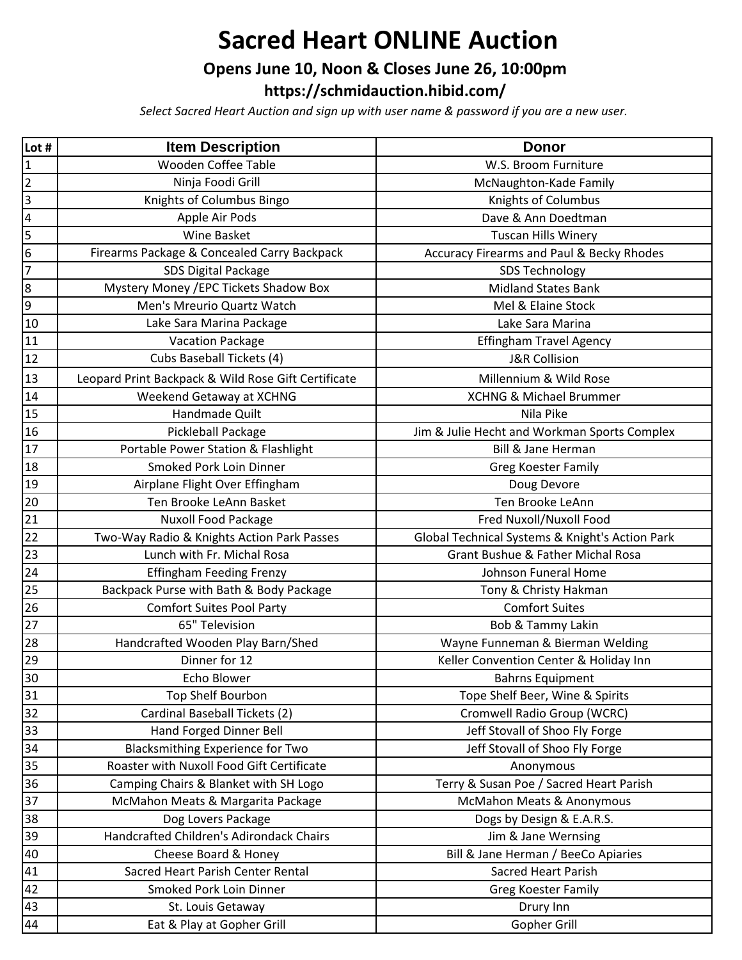# **Sacred Heart ONLINE Auction**

### **Opens June 10, Noon & Closes June 26, 10:00pm**

**[https://schmida](https://schmidauction.hibid.com/)uction.hibid.com/**

*Select Sacred Heart Auction and sign up with user name & password if you are a new user.*

| Lot #          | <b>Item Description</b>                             | <b>Donor</b>                                    |
|----------------|-----------------------------------------------------|-------------------------------------------------|
| 1              | Wooden Coffee Table                                 | W.S. Broom Furniture                            |
| $\overline{c}$ | Ninja Foodi Grill                                   | McNaughton-Kade Family                          |
| 3              | Knights of Columbus Bingo                           | Knights of Columbus                             |
| 4              | Apple Air Pods                                      | Dave & Ann Doedtman                             |
| 5              | <b>Wine Basket</b>                                  | <b>Tuscan Hills Winery</b>                      |
| 6              | Firearms Package & Concealed Carry Backpack         | Accuracy Firearms and Paul & Becky Rhodes       |
| 7              | <b>SDS Digital Package</b>                          | <b>SDS Technology</b>                           |
| 8              | Mystery Money / EPC Tickets Shadow Box              | <b>Midland States Bank</b>                      |
| 9              | Men's Mreurio Quartz Watch                          | Mel & Elaine Stock                              |
| 10             | Lake Sara Marina Package                            | Lake Sara Marina                                |
| 11             | <b>Vacation Package</b>                             | <b>Effingham Travel Agency</b>                  |
| 12             | Cubs Baseball Tickets (4)                           | <b>J&amp;R Collision</b>                        |
| 13             | Leopard Print Backpack & Wild Rose Gift Certificate | Millennium & Wild Rose                          |
| 14             | Weekend Getaway at XCHNG                            | <b>XCHNG &amp; Michael Brummer</b>              |
| 15             | Handmade Quilt                                      | Nila Pike                                       |
| 16             | Pickleball Package                                  | Jim & Julie Hecht and Workman Sports Complex    |
| 17             | Portable Power Station & Flashlight                 | <b>Bill &amp; Jane Herman</b>                   |
| 18             | Smoked Pork Loin Dinner                             | Greg Koester Family                             |
| 19             | Airplane Flight Over Effingham                      | Doug Devore                                     |
| 20             | Ten Brooke LeAnn Basket                             | Ten Brooke LeAnn                                |
| 21             | <b>Nuxoll Food Package</b>                          | Fred Nuxoll/Nuxoll Food                         |
| 22             | Two-Way Radio & Knights Action Park Passes          | Global Technical Systems & Knight's Action Park |
| 23             | Lunch with Fr. Michal Rosa                          | Grant Bushue & Father Michal Rosa               |
| 24             | <b>Effingham Feeding Frenzy</b>                     | Johnson Funeral Home                            |
| 25             | Backpack Purse with Bath & Body Package             | Tony & Christy Hakman                           |
| 26             | <b>Comfort Suites Pool Party</b>                    | <b>Comfort Suites</b>                           |
| 27             | 65" Television                                      | Bob & Tammy Lakin                               |
| 28             | Handcrafted Wooden Play Barn/Shed                   | Wayne Funneman & Bierman Welding                |
| 29             | Dinner for 12                                       | Keller Convention Center & Holiday Inn          |
| 30             | Echo Blower                                         | <b>Bahrns Equipment</b>                         |
| 31             | Top Shelf Bourbon                                   | Tope Shelf Beer, Wine & Spirits                 |
| 32             | Cardinal Baseball Tickets (2)                       | Cromwell Radio Group (WCRC)                     |
| 33             | Hand Forged Dinner Bell                             | Jeff Stovall of Shoo Fly Forge                  |
| 34             | <b>Blacksmithing Experience for Two</b>             | Jeff Stovall of Shoo Fly Forge                  |
| 35             | Roaster with Nuxoll Food Gift Certificate           | Anonymous                                       |
| 36             | Camping Chairs & Blanket with SH Logo               | Terry & Susan Poe / Sacred Heart Parish         |
| 37             | McMahon Meats & Margarita Package                   | McMahon Meats & Anonymous                       |
| 38             | Dog Lovers Package                                  | Dogs by Design & E.A.R.S.                       |
| 39             | Handcrafted Children's Adirondack Chairs            | Jim & Jane Wernsing                             |
| 40             | Cheese Board & Honey                                | Bill & Jane Herman / BeeCo Apiaries             |
| 41             | Sacred Heart Parish Center Rental                   | <b>Sacred Heart Parish</b>                      |
| 42             | Smoked Pork Loin Dinner                             | <b>Greg Koester Family</b>                      |
| 43             | St. Louis Getaway                                   | Drury Inn                                       |
| 44             | Eat & Play at Gopher Grill                          | Gopher Grill                                    |